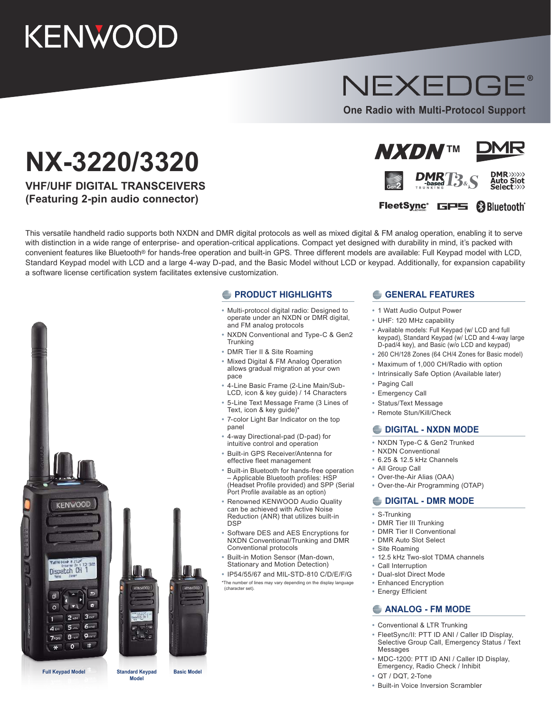# KENWOOD

## NEXEDGE

**One Radio with Multi-Protocol Support**

## **NX-3220/3320**

**VHF/UHF DIGITAL TRANSCEIVERS (Featuring 2-pin audio connector)**





## FleetSync<sup>®</sup> GPS <sup>8</sup>Bluetooth<sup>®</sup>

This versatile handheld radio supports both NXDN and DMR digital protocols as well as mixed digital & FM analog operation, enabling it to serve with distinction in a wide range of enterprise- and operation-critical applications. Compact yet designed with durability in mind, it's packed with convenient features like Bluetooth® for hands-free operation and built-in GPS. Three different models are available: Full Keypad model with LCD, Standard Keypad model with LCD and a large 4-way D-pad, and the Basic Model without LCD or keypad. Additionally, for expansion capability a software license certification system facilitates extensive customization.





#### **PRODUCT HIGHLIGHTS**

- **•** Multi-protocol digital radio: Designed to operate under an NXDN or DMR digital, and FM analog protocols
- **•** NXDN Conventional and Type-C & Gen2 **Trunking**
- **•** DMR Tier II & Site Roaming
- **•** Mixed Digital & FM Analog Operation allows gradual migration at your own pace
- **•** 4-Line Basic Frame (2-Line Main/Sub-LCD, icon & key guide) / 14 Characters
- **•** 5-Line Text Message Frame (3 Lines of Text, icon & key guide)\*
- **•** 7-color Light Bar Indicator on the top panel
- **•** 4-way Directional-pad (D-pad) for intuitive control and operation
- **•** Built-in GPS Receiver/Antenna for effective fleet management
- **•** Built-in Bluetooth for hands-free operation – Applicable Bluetooth profiles: HSP (Headset Profile provided) and SPP (Serial Port Profile available as an option)
- **•** Renowned KENWOOD Audio Quality can be achieved with Active Noise Reduction (ANR) that utilizes built-in **DSP**
- **•** Software DES and AES Encryptions for NXDN Conventional/Trunking and DMR Conventional protocols
- **•** Built-in Motion Sensor (Man-down, Stationary and Motion Detection)
- **•** IP54/55/67 and MIL-STD-810 C/D/E/F/G \*The number of lines may vary depending on the display language (character set).

#### **CENERAL FEATURES**

- **•** 1 Watt Audio Output Power
- **•** UHF: 120 MHz capability
- **•** Available models: Full Keypad (w/ LCD and full keypad), Standard Keypad (w/ LCD and 4-way large D-pad/4 key), and Basic (w/o LCD and keypad)
- **•** 260 CH/128 Zones (64 CH/4 Zones for Basic model)
- **•** Maximum of 1,000 CH/Radio with option
- **•** Intrinsically Safe Option (Available later)
- **•** Paging Call
- **•** Emergency Call
- **•** Status/Text Message
- **•** Remote Stun/Kill/Check

#### **DIGITAL - NXDN MODE**

- **•** NXDN Type-C & Gen2 Trunked
- **•** NXDN Conventional
- **•** 6.25 & 12.5 kHz Channels
- **•** All Group Call
- **•** Over-the-Air Alias (OAA)
- **•** Over-the-Air Programming (OTAP)

#### **DIGITAL - DMR MODE**

- **•** S-Trunking
- **•** DMR Tier III Trunking
- **•** DMR Tier II Conventional
- **•** DMR Auto Slot Select
- **•** Site Roaming
- **•** 12.5 kHz Two-slot TDMA channels
- **•** Call Interruption
- **•** Dual-slot Direct Mode
- **•** Enhanced Encryption
- **•** Energy Efficient

#### **ANALOG - FM MODE**

- **•** Conventional & LTR Trunking
- **•** FleetSync/II: PTT ID ANI / Caller ID Display, Selective Group Call, Emergency Status / Text Messages
- **•** MDC-1200: PTT ID ANI / Caller ID Display, Emergency, Radio Check / Inhibit
- **•** QT / DQT, 2-Tone
- **•** Built-in Voice Inversion Scrambler